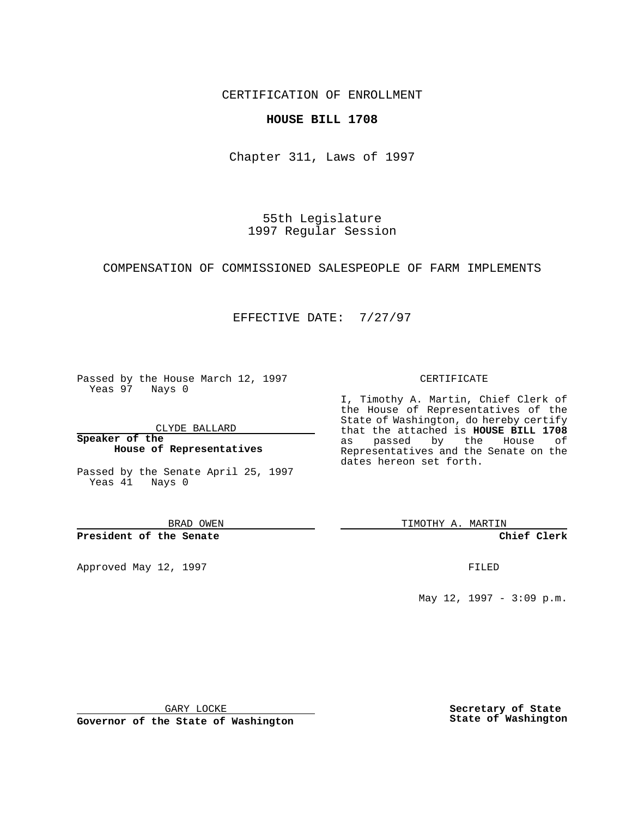CERTIFICATION OF ENROLLMENT

### **HOUSE BILL 1708**

Chapter 311, Laws of 1997

55th Legislature 1997 Regular Session

#### COMPENSATION OF COMMISSIONED SALESPEOPLE OF FARM IMPLEMENTS

## EFFECTIVE DATE: 7/27/97

Passed by the House March 12, 1997 Yeas 97 Nays 0

CLYDE BALLARD

**Speaker of the House of Representatives**

Passed by the Senate April 25, 1997 Yeas 41 Nays 0

BRAD OWEN

**President of the Senate**

Approved May 12, 1997 **FILED** 

#### CERTIFICATE

I, Timothy A. Martin, Chief Clerk of the House of Representatives of the State of Washington, do hereby certify that the attached is **HOUSE BILL 1708** as passed by the House of Representatives and the Senate on the dates hereon set forth.

TIMOTHY A. MARTIN

**Chief Clerk**

May 12, 1997 - 3:09 p.m.

GARY LOCKE

**Governor of the State of Washington**

**Secretary of State State of Washington**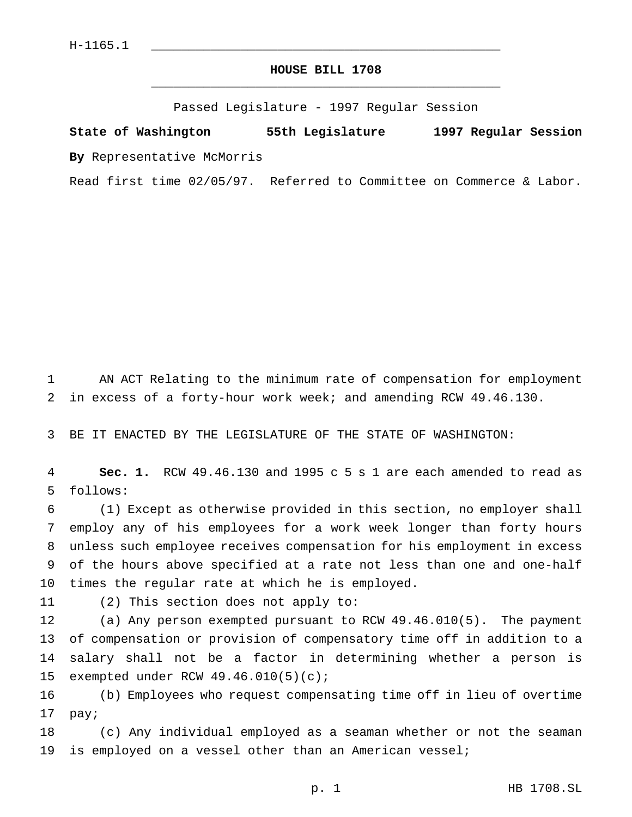# **HOUSE BILL 1708** \_\_\_\_\_\_\_\_\_\_\_\_\_\_\_\_\_\_\_\_\_\_\_\_\_\_\_\_\_\_\_\_\_\_\_\_\_\_\_\_\_\_\_\_\_\_\_

Passed Legislature - 1997 Regular Session

**State of Washington 55th Legislature 1997 Regular Session By** Representative McMorris

Read first time 02/05/97. Referred to Committee on Commerce & Labor.

 AN ACT Relating to the minimum rate of compensation for employment in excess of a forty-hour work week; and amending RCW 49.46.130.

BE IT ENACTED BY THE LEGISLATURE OF THE STATE OF WASHINGTON:

 **Sec. 1.** RCW 49.46.130 and 1995 c 5 s 1 are each amended to read as follows:

 (1) Except as otherwise provided in this section, no employer shall employ any of his employees for a work week longer than forty hours unless such employee receives compensation for his employment in excess of the hours above specified at a rate not less than one and one-half times the regular rate at which he is employed.

(2) This section does not apply to:

 (a) Any person exempted pursuant to RCW 49.46.010(5). The payment of compensation or provision of compensatory time off in addition to a salary shall not be a factor in determining whether a person is exempted under RCW 49.46.010(5)(c);

 (b) Employees who request compensating time off in lieu of overtime pay;

 (c) Any individual employed as a seaman whether or not the seaman is employed on a vessel other than an American vessel;

p. 1 HB 1708.SL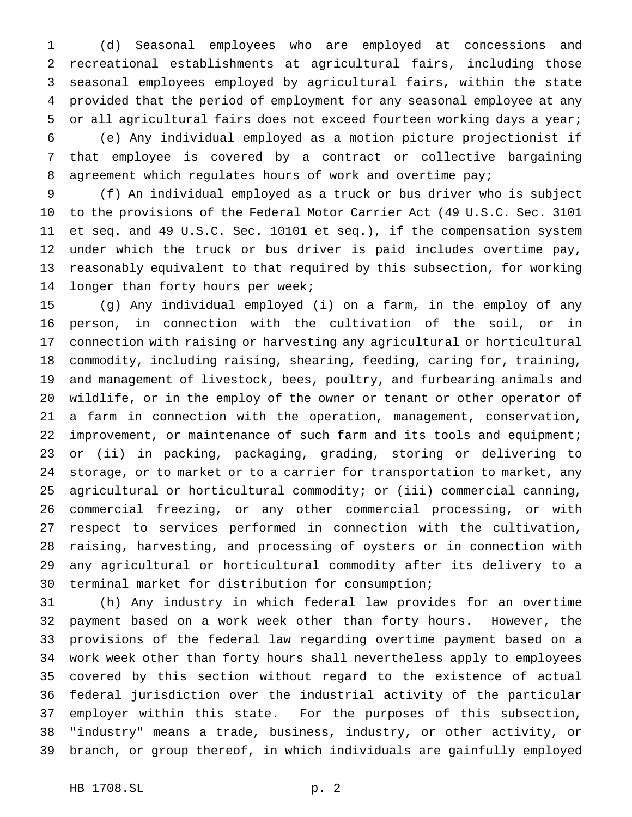(d) Seasonal employees who are employed at concessions and recreational establishments at agricultural fairs, including those seasonal employees employed by agricultural fairs, within the state provided that the period of employment for any seasonal employee at any or all agricultural fairs does not exceed fourteen working days a year; (e) Any individual employed as a motion picture projectionist if

 that employee is covered by a contract or collective bargaining 8 agreement which regulates hours of work and overtime pay;

 (f) An individual employed as a truck or bus driver who is subject to the provisions of the Federal Motor Carrier Act (49 U.S.C. Sec. 3101 et seq. and 49 U.S.C. Sec. 10101 et seq.), if the compensation system under which the truck or bus driver is paid includes overtime pay, reasonably equivalent to that required by this subsection, for working longer than forty hours per week;

 (g) Any individual employed (i) on a farm, in the employ of any person, in connection with the cultivation of the soil, or in connection with raising or harvesting any agricultural or horticultural commodity, including raising, shearing, feeding, caring for, training, and management of livestock, bees, poultry, and furbearing animals and wildlife, or in the employ of the owner or tenant or other operator of a farm in connection with the operation, management, conservation, improvement, or maintenance of such farm and its tools and equipment; or (ii) in packing, packaging, grading, storing or delivering to storage, or to market or to a carrier for transportation to market, any agricultural or horticultural commodity; or (iii) commercial canning, commercial freezing, or any other commercial processing, or with respect to services performed in connection with the cultivation, raising, harvesting, and processing of oysters or in connection with any agricultural or horticultural commodity after its delivery to a terminal market for distribution for consumption;

 (h) Any industry in which federal law provides for an overtime payment based on a work week other than forty hours. However, the provisions of the federal law regarding overtime payment based on a work week other than forty hours shall nevertheless apply to employees covered by this section without regard to the existence of actual federal jurisdiction over the industrial activity of the particular employer within this state. For the purposes of this subsection, "industry" means a trade, business, industry, or other activity, or branch, or group thereof, in which individuals are gainfully employed